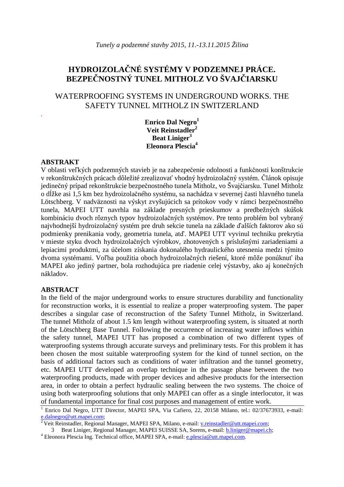# **HYDROIZOLA**Č**NÉ SYSTÉMY V PODZEMNEJ PRÁCE. BEZPE**Č**NOSTNÝ TUNEL MITHOLZ VO ŠVAJ**Č**IARSKU**

# WATERPROOFING SYSTEMS IN UNDERGROUND WORKS. THE SAFETY TUNNEL MITHOLZ IN SWITZERLAND

**Enrico Dal Negro<sup>1</sup> Veit Reinstadler<sup>2</sup> Beat Liniger<sup>3</sup> Eleonora Plescia<sup>4</sup>**

#### **ABSTRAKT**

*.* 

V oblasti veľkých podzemných stavieb je na zabezpečenie odolnosti a funkčnosti konštrukcie v rekonštrukčných prácach dôležité zrealizovať vhodný hydroizolačný systém. Článok opisuje jedinečný prípad rekonštrukcie bezpečnostného tunela Mitholz, vo Švajčiarsku. Tunel Mitholz o dĺžke asi 1,5 km bez hydroizolačného systému, sa nachádza v severnej časti hlavného tunela Lötschberg. V nadväznosti na výskyt zvyšujúcich sa prítokov vody v rámci bezpečnostného tunela, MAPEI UTT navrhla na základe presných prieskumov a predbežných skúšok kombináciu dvoch rôznych typov hydroizolačných systémov. Pre tento problém bol vybraný najvhodnejší hydroizolačný systém pre druh sekcie tunela na základe ďalších faktorov ako sú podmienky prenikania vody, geometria tunela, atď. MAPEI UTT vyvinul techniku prekrytia v mieste styku dvoch hydroizolačných výrobkov, zhotovených s príslušnými zariadeniami a lepiacimi produktmi, za účelom získania dokonalého hydraulického utesnenia medzi týmito dvoma systémami. Voľba použitia oboch hydroizolačných riešení, ktoré môže ponúknuť iba MAPEI ako jediný partner, bola rozhodujúca pre riadenie celej výstavby, ako aj konečných nákladov.

#### **ABSTRACT**

In the field of the major underground works to ensure structures durability and functionality for reconstruction works, it is essential to realize a proper waterproofing system. The paper describes a singular case of reconstruction of the Safety Tunnel Mitholz, in Switzerland. The tunnel Mitholz of about 1.5 km length without waterproofing system, is situated at north of the Lötschberg Base Tunnel. Following the occurrence of increasing water inflows within the safety tunnel, MAPEI UTT has proposed a combination of two different types of waterproofing systems through accurate surveys and preliminary tests. For this problem it has been chosen the most suitable waterproofing system for the kind of tunnel section, on the basis of additional factors such as conditions of water infiltration and the tunnel geometry, etc. MAPEI UTT developed an overlap technique in the passage phase between the two waterproofing products, made with proper devices and adhesive products for the intersection area, in order to obtain a perfect hydraulic sealing between the two systems. The choice of using both waterproofing solutions that only MAPEI can offer as a single interlocutor, it was of fundamental importance for final cost purposes and management of entire work.

<sup>4</sup> Eleonora Plescia Ing. Technical office, MAPEI SPA, e-mail: e.plescia@utt.mapei.com.

<sup>&</sup>lt;sup>1</sup> Enrico Dal Negro, UTT Director, MAPEI SPA, Via Cafiero, 22, 20158 Milano, tel.: 02/37673933, e-mail: e.dalnegro@utt.mapei.com;

<sup>2</sup>Veit Reinstadler, Regional Manager, MAPEI SPA, Milano, e-mail: v.reinstadler@utt.mapei.com;

<sup>3</sup> Beat Liniger, Regional Manager, MAPEI SUISSE SA, Sorens, e-mail: b.liniger@mapei.ch;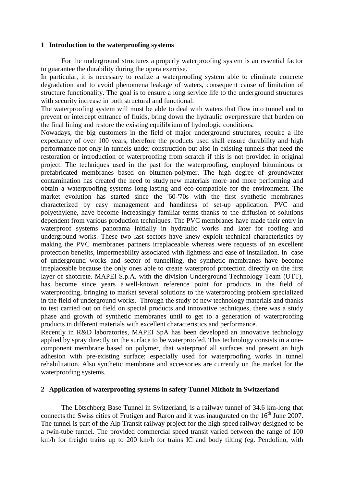#### **1 Introduction to the waterproofing systems**

For the underground structures a properly waterproofing system is an essential factor to guarantee the durability during the opera exercise.

In particular, it is necessary to realize a waterproofing system able to eliminate concrete degradation and to avoid phenomena leakage of waters, consequent cause of limitation of structure functionality. The goal is to ensure a long service life to the underground structures with security increase in both structural and functional.

The waterproofing system will must be able to deal with waters that flow into tunnel and to prevent or intercept entrance of fluids, bring down the hydraulic overpressure that burden on the final lining and restore the existing equilibrium of hydrologic conditions.

Nowadays, the big customers in the field of major underground structures, require a life expectancy of over 100 years, therefore the products used shall ensure durability and high performance not only in tunnels under construction but also in existing tunnels that need the restoration or introduction of waterproofing from scratch if this is not provided in original project. The techniques used in the past for the waterproofing, employed bituminous or prefabricated membranes based on bitumen-polymer. The high degree of groundwater contamination has created the need to study new materials more and more performing and obtain a waterproofing systems long-lasting and eco-compatible for the environment. The market evolution has started since the '60-'70s with the first synthetic membranes characterized by easy management and handiness of set-up application. PVC and polyethylene, have become increasingly familiar terms thanks to the diffusion of solutions dependent from various production techniques. The PVC membranes have made their entry in waterproof systems panorama initially in hydraulic works and later for roofing and underground works. These two last sectors have knew exploit technical characteristics by making the PVC membranes partners irreplaceable whereas were requests of an excellent protection benefits, impermeability associated with lightness and ease of installation. In case of underground works and sector of tunnelling, the synthetic membranes have become irreplaceable because the only ones able to create waterproof protection directly on the first layer of shotcrete. MAPEI S.p.A. with the division Underground Technology Team (UTT), has become since years a well-known reference point for products in the field of waterproofing, bringing to market several solutions to the waterproofing problem specialized in the field of underground works. Through the study of new technology materials and thanks to test carried out on field on special products and innovative techniques, there was a study phase and growth of synthetic membranes until to get to a generation of waterproofing products in different materials with excellent characteristics and performance.

Recently in R&D laboratories, MAPEI SpA has been developed an innovative technology applied by spray directly on the surface to be waterproofed. This technology consists in a onecomponent membrane based on polymer, that waterproof all surfaces and present an high adhesion with pre-existing surface; especially used for waterproofing works in tunnel rehabilitation. Also synthetic membrane and accessories are currently on the market for the waterproofing systems.

## **2 Application of waterproofing systems in safety Tunnel Mitholz in Switzerland**

The Lötschberg Base Tunnel in Switzerland, is a railway tunnel of 34.6 km-long that connects the Swiss cities of Frutigen and Raron and it was inaugurated on the  $16<sup>th</sup>$  June 2007. The tunnel is part of the Alp Transit railway project for the high speed railway designed to be a twin-tube tunnel. The provided commercial speed transit varied between the range of 100 km/h for freight trains up to 200 km/h for trains IC and body tilting (eg. Pendolino, with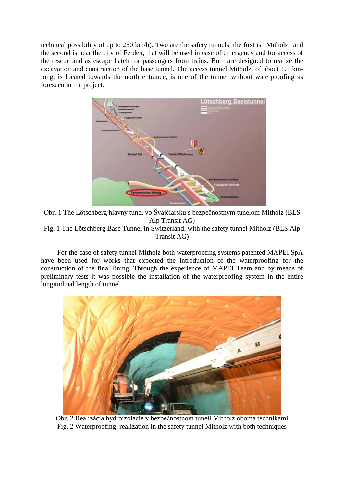technical possibility of up to 250 km/h). Two are the safety tunnels: the first is "Mitholz" and the second is near the city of Ferden, that will be used in case of emergency and for access of the rescue and as escape hatch for passengers from trains. Both are designed to realize the excavation and construction of the base tunnel. The access tunnel Mitholz, of about 1.5 kmlong, is located towards the north entrance, is one of the tunnel without waterproofing as foreseen in the project.



Obr. 1 The Lötschberg hlavný tunel vo Švajčiarsku s bezpečnostným tunelom Mitholz (BLS Alp Transit AG) Fig. 1 The Lötschberg Base Tunnel in Switzerland, with the safety tunnel Mitholz (BLS Alp Transit AG)

For the case of safety tunnel Mitholz both waterproofing systems patented MAPEI SpA have been used for works that expected the introduction of the waterproofing for the construction of the final lining. Through the experience of MAPEI Team and by means of preliminary tests it was possible the installation of the waterproofing system in the entire longitudinal length of tunnel.



Obr. 2 Realizácia hydroizolácie v bezpečnostnom tuneli Mitholz oboma technikami Fig. 2 Waterproofing realization in the safety tunnel Mitholz with both techniques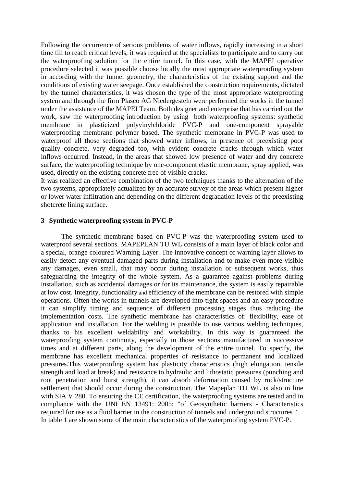Following the occurrence of serious problems of water inflows, rapidly increasing in a short time till to reach critical levels, it was required at the specialists to participate and to carry out the waterproofing solution for the entire tunnel. In this case, with the MAPEI operative procedure selected it was possible choose locally the most appropriate waterproofing system in according with the tunnel geometry, the characteristics of the existing support and the conditions of existing water seepage. Once established the construction requirements, dictated by the tunnel characteristics, it was chosen the type of the most appropriate waterproofing system and through the firm Plasco AG Niedergesteln were performed the works in the tunnel under the assistance of the MAPEI Team. Both designer and enterprise that has carried out the work, saw the waterproofing introduction by using both waterproofing systems: synthetic membrane in plasticized polyvinylchloride PVC-P and one-component sprayable waterproofing membrane polymer based. The synthetic membrane in PVC-P was used to waterproof all those sections that showed water inflows, in presence of preexisting poor quality concrete, very degraded too, with evident concrete cracks through which water inflows occurred. Instead, in the areas that showed low presence of water and dry concrete surface, the waterproofing technique by one-component elastic membrane, spray applied, was used, directly on the existing concrete free of visible cracks.

It was realized an effective combination of the two techniques thanks to the alternation of the two systems, appropriately actualized by an accurate survey of the areas which present higher or lower water infiltration and depending on the different degradation levels of the preexisting shotcrete lining surface.

#### **3 Synthetic waterproofing system in PVC-P**

The synthetic membrane based on PVC-P was the waterproofing system used to waterproof several sections. MAPEPLAN TU WL consists of a main layer of black color and a special, orange coloured Warning Layer. The innovative concept of warning layer allows to easily detect any eventual damaged parts during installation and to make even more visible any damages, even small, that may occur during installation or subsequent works, thus safeguarding the integrity of the whole system. As a guarantee against problems during installation, such as accidental damages or for its maintenance, the system is easily repairable at low cost. Integrity, functionality and efficiency of the membrane can be restored with simple operations. Often the works in tunnels are developed into tight spaces and an easy procedure it can simplify timing and sequence of different processing stages thus reducing the implementation costs. The synthetic membrane has characteristics of: flexibility, ease of application and installation. For the welding is possible to use various welding techniques, thanks to his excellent weldability and workability. In this way is guaranteed the waterproofing system continuity, especially in those sections manufactured in successive times and at different parts, along the development of the entire tunnel. To specify, the membrane has excellent mechanical properties of resistance to permanent and localized pressures.This waterproofing system has plasticity characteristics (high elongation, tensile strength and load at break) and resistance to hydraulic and lithostatic pressures (punching and root penetration and burst strength), it can absorb deformation caused by rock/structure settlement that should occur during the construction. The Mapeplan TU WL is also in line with SIA V 280. To ensuring the CE certification, the waterproofing systems are tested and in compliance with the UNI EN 13491: 2005: "of Geosynthetic barriers - Characteristics required for use as a fluid barrier in the construction of tunnels and underground structures ". In table 1 are shown some of the main characteristics of the waterproofing system PVC-P.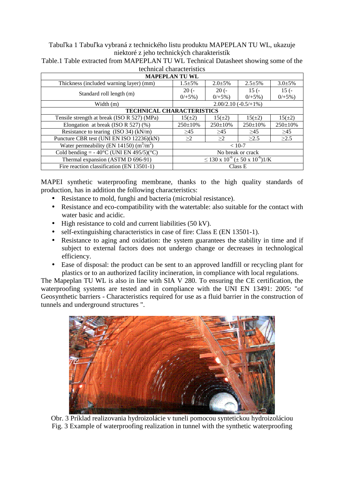# Tabuľka 1 Tabuľka vybraná z technického listu produktu MAPEPLAN TU WL, ukazuje niektoré z jeho technických charakteristík

| technical characteristics                                    |                                                                  |                |                |                |  |
|--------------------------------------------------------------|------------------------------------------------------------------|----------------|----------------|----------------|--|
| <b>MAPEPLAN TU WL</b>                                        |                                                                  |                |                |                |  |
| Thickness (included warning layer) (mm)                      | $1.5 \pm 5\%$                                                    | $2.0 \pm 5\%$  | $2.5 + 5\%$    | $3.0 \pm 5\%$  |  |
| Standard roll length (m)                                     | $20(-$                                                           | $20(-$         | $15(-$         | $15(-$         |  |
|                                                              | $0/+5\%$ )                                                       | $0/+5\%$ )     | $0/+5\%$ )     | $0/+5\%$ )     |  |
| Width (m)                                                    | $2.00/2.10(-0.5/+1%)$                                            |                |                |                |  |
| <b>TECHNICAL CHARACTERISTICS</b>                             |                                                                  |                |                |                |  |
| Tensile strength at break (ISO R 527) (MPa)                  | $15(\pm 2)$                                                      | $15(\pm 2)$    | $15(\pm 2)$    | $15(\pm 2)$    |  |
| Elongation at break (ISO R 527) $(\%)$                       | $250 \pm 10\%$                                                   | $250 \pm 10\%$ | $250 \pm 10\%$ | $250 \pm 10\%$ |  |
| Resistance to tearing $(ISO 34) (kN/m)$                      | >45                                                              | >45            | >45            | >45            |  |
| Puncture CBR test (UNI EN ISO 12236)(kN)                     | >2                                                               | >2             | $\geq$ 2.5     | $\geq$ 2.5     |  |
| Water permeability (EN 14150) $(m^3/m^2)$                    | $< 10-7$                                                         |                |                |                |  |
| Cold bending = $-40^{\circ}$ C (UNI EN 495/5)( $^{\circ}$ C) | No break or crack                                                |                |                |                |  |
| Thermal expansion (ASTM D 696-91)                            | $\leq$ 130 x 10 <sup>-6</sup> ( $\pm$ 50 x 10 <sup>-6</sup> )1/K |                |                |                |  |
| Fire reaction classification (EN 13501-1)                    | Class E                                                          |                |                |                |  |

Table.1 Table extracted from MAPEPLAN TU WL Technical Datasheet showing some of the technical characteristics

MAPEI synthetic waterproofing membrane, thanks to the high quality standards of production, has in addition the following characteristics:

- Resistance to mold, funghi and bacteria (microbial resistance).
- Resistance and eco-compatibility with the watertable: also suitable for the contact with water basic and acidic.
- High resistance to cold and current liabilities (50 kV).
- self-extinguishing characteristics in case of fire: Class E (EN 13501-1).
- Resistance to aging and oxidation: the system guarantees the stability in time and if subject to external factors does not undergo change or decreases in technological efficiency.
- Ease of disposal: the product can be sent to an approved landfill or recycling plant for plastics or to an authorized facility incineration, in compliance with local regulations.

The Mapeplan TU WL is also in line with SIA V 280. To ensuring the CE certification, the waterproofing systems are tested and in compliance with the UNI EN 13491: 2005: "of Geosynthetic barriers - Characteristics required for use as a fluid barrier in the construction of tunnels and underground structures ".



Obr. 3 Príklad realizovania hydroizolácie v tuneli pomocou syntetickou hydroizoláciou Fig. 3 Example of waterproofing realization in tunnel with the synthetic waterproofing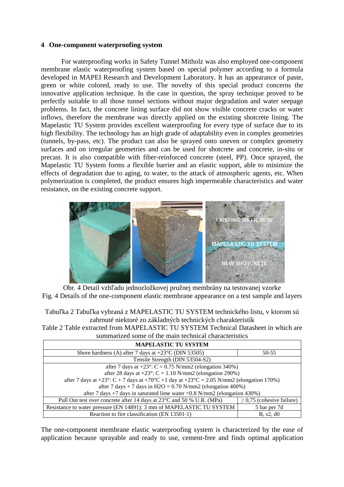#### **4 One-component waterproofing system**

For waterproofing works in Safety Tunnel Mitholz was also employed one-component membrane elastic waterproofing system based on special polymer according to a formula developed in MAPEI Research and Development Laboratory. It has an appearance of paste, green or white colored, ready to use. The novelty of this special product concerns the innovative application technique. In the case in question, the spray technique proved to be perfectly suitable to all those tunnel sections without major degradation and water seepage problems. In fact, the concrete lining surface did not show visible concrete cracks or water inflows, therefore the membrane was directly applied on the existing shotcrete lining. The Mapelastic TU System provides excellent waterproofing for every type of surface due to its high flexibility. The technology has an high grade of adaptability even in complex geometries (tunnels, by-pass, etc). The product can also be sprayed onto uneven or complex geometry surfaces and on irregular geometries and can be used for shotcrete and concrete, in-situ or precast. It is also compatible with fiber-reinforced concrete (steel, PP). Once sprayed, the Mapelastic TU System forms a flexible barrier and an elastic support, able to minimize the effects of degradation due to aging, to water, to the attack of atmospheric agents, etc. When polymerization is completed, the product ensures high impermeable characteristics and water resistance, on the existing concrete support.



Obr. 4 Detail vzhľadu jednozložkovej pružnej membrány na testovanej vzorke Fig. 4 Details of the one-component elastic membrane appearance on a test sample and layers

Tabuľka 2 Tabuľka vybraná z MAPELASTIC TU SYSTEM technického listu, v ktorom sú zahrnuté niektoré zo základných technických charakteristík

Table 2 Table extracted from MAPELASTIC TU SYSTEM Technical Datasheet in which are summarized some of the main technical characteristics

| <b>MAPELASTIC TU SYSTEM</b>                                                              |                                |  |  |  |
|------------------------------------------------------------------------------------------|--------------------------------|--|--|--|
| Shore hardness (A) after 7 days at $+23^{\circ}$ C (DIN 53505)                           | 50-55                          |  |  |  |
| Tensile Strength (DIN 53504-S2)                                                          |                                |  |  |  |
| after 7 days at $+23^{\circ}$ : C = 0.75 N/mm2 (elongation 340%)                         |                                |  |  |  |
| after 28 days at $+23^{\circ}$ : C = 1.10 N/mm2 (elongation 290%)                        |                                |  |  |  |
| after 7 days at +23°: C + 7 days at +70°C +1 day at +23°C = 2.05 N/mm2 (elongation 170%) |                                |  |  |  |
| after 7 days + 7 days in H2O = $0.70$ N/mm2 (elongation 400%)                            |                                |  |  |  |
| after 7 days +7 days in saturated lime water = $0.8$ N/mm2 (elongation 430%)             |                                |  |  |  |
| Pull Out test over concrete after 14 days at 23 <sup>°</sup> C and 50 % U.R. (MPa)       | $\geq$ 0,75 (cohesive failure) |  |  |  |
| Resistance to water pressure (EN 14891): 3 mm of MAPELASTIC TU SYSTEM                    | 5 bar per 7d                   |  |  |  |
| Reaction to fire classification (EN 13501-1)                                             | B, s2, d0                      |  |  |  |

The one-component membrane elastic waterproofing system is characterized by the ease of application because sprayable and ready to use, cement-free and finds optimal application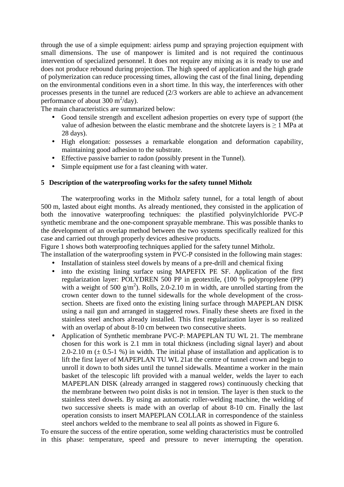through the use of a simple equipment: airless pump and spraying projection equipment with small dimensions. The use of manpower is limited and is not required the continuous intervention of specialized personnel. It does not require any mixing as it is ready to use and does not produce rebound during projection. The high speed of application and the high grade of polymerization can reduce processing times, allowing the cast of the final lining, depending on the environmental conditions even in a short time. In this way, the interferences with other processes presents in the tunnel are reduced (2/3 workers are able to achieve an advancement performance of about  $300 \text{ m}^2/\text{day}$ .

The main characteristics are summarized below:

- Good tensile strength and excellent adhesion properties on every type of support (the value of adhesion between the elastic membrane and the shotcrete layers is ≥ 1 MPa at 28 days).
- High elongation: possesses a remarkable elongation and deformation capability, maintaining good adhesion to the substrate.
- Effective passive barrier to radon (possibly present in the Tunnel).
- Simple equipment use for a fast cleaning with water.

#### **5 Description of the waterproofing works for the safety tunnel Mitholz**

The waterproofing works in the Mitholz safety tunnel, for a total length of about 500 m, lasted about eight months. As already mentioned, they consisted in the application of both the innovative waterproofing techniques: the plastified polyvinylchloride PVC-P synthetic membrane and the one-component sprayable membrane. This was possible thanks to the development of an overlap method between the two systems specifically realized for this case and carried out through properly devices adhesive products.

Figure 1 shows both waterproofing techniques applied for the safety tunnel Mitholz.

The installation of the waterproofing system in PVC-P consisted in the following main stages:

- Installation of stainless steel dowels by means of a pre-drill and chemical fixing
- into the existing lining surface using MAPEFIX PE SF. Application of the first regularization layer: POLYDREN 500 PP in geotextile, (100 % polypropylene (PP) with a weight of 500  $g/m^2$ ). Rolls, 2.0-2.10 m in width, are unrolled starting from the crown center down to the tunnel sidewalls for the whole development of the crosssection. Sheets are fixed onto the existing lining surface through MAPEPLAN DISK using a nail gun and arranged in staggered rows. Finally these sheets are fixed in the stainless steel anchors already installed. This first regularization layer is so realized with an overlap of about 8-10 cm between two consecutive sheets.
- Application of Synthetic membrane PVC-P: MAPEPLAN TU WL 21. The membrane chosen for this work is 2.1 mm in total thickness (including signal layer) and about 2.0-2.10 m  $(\pm 0.5-1 \%)$  in width. The initial phase of installation and application is to lift the first layer of MAPEPLAN TU WL 21at the centre of tunnel crown and begin to unroll it down to both sides until the tunnel sidewalls. Meantime a worker in the main basket of the telescopic lift provided with a manual welder, welds the layer to each MAPEPLAN DISK (already arranged in staggered rows) continuously checking that the membrane between two point disks is not in tension. The layer is then stuck to the stainless steel dowels. By using an automatic roller-welding machine, the welding of two successive sheets is made with an overlap of about 8-10 cm. Finally the last operation consists to insert MAPEPLAN COLLAR in correspondence of the stainless steel anchors welded to the membrane to seal all points as showed in Figure 6.

To ensure the success of the entire operation, some welding characteristics must be controlled in this phase: temperature, speed and pressure to never interrupting the operation.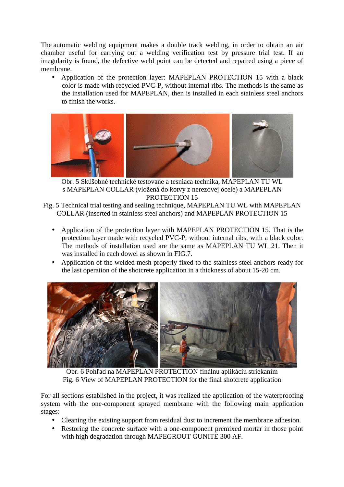The automatic welding equipment makes a double track welding, in order to obtain an air chamber useful for carrying out a welding verification test by pressure trial test. If an irregularity is found, the defective weld point can be detected and repaired using a piece of membrane.

• Application of the protection layer: MAPEPLAN PROTECTION 15 with a black color is made with recycled PVC-P, without internal ribs. The methods is the same as the installation used for MAPEPLAN, then is installed in each stainless steel anchors to finish the works.



Obr. 5 Skúšobné technické testovane a tesniaca technika, MAPEPLAN TU WL s MAPEPLAN COLLAR (vložená do kotvy z nerezovej ocele) a MAPEPLAN PROTECTION 15

Fig. 5 Technical trial testing and sealing technique, MAPEPLAN TU WL with MAPEPLAN COLLAR (inserted in stainless steel anchors) and MAPEPLAN PROTECTION 15

- Application of the protection layer with MAPEPLAN PROTECTION 15. That is the protection layer made with recycled PVC-P, without internal ribs, with a black color. The methods of installation used are the same as MAPEPLAN TU WL 21. Then it was installed in each dowel as shown in FIG.7.
- Application of the welded mesh properly fixed to the stainless steel anchors ready for the last operation of the shotcrete application in a thickness of about 15-20 cm.



Obr. 6 Pohľad na MAPEPLAN PROTECTION finálnu aplikáciu striekaním Fig. 6 View of MAPEPLAN PROTECTION for the final shotcrete application

For all sections established in the project, it was realized the application of the waterproofing system with the one-component sprayed membrane with the following main application stages:

- Cleaning the existing support from residual dust to increment the membrane adhesion.
- Restoring the concrete surface with a one-component premixed mortar in those point with high degradation through MAPEGROUT GUNITE 300 AF.